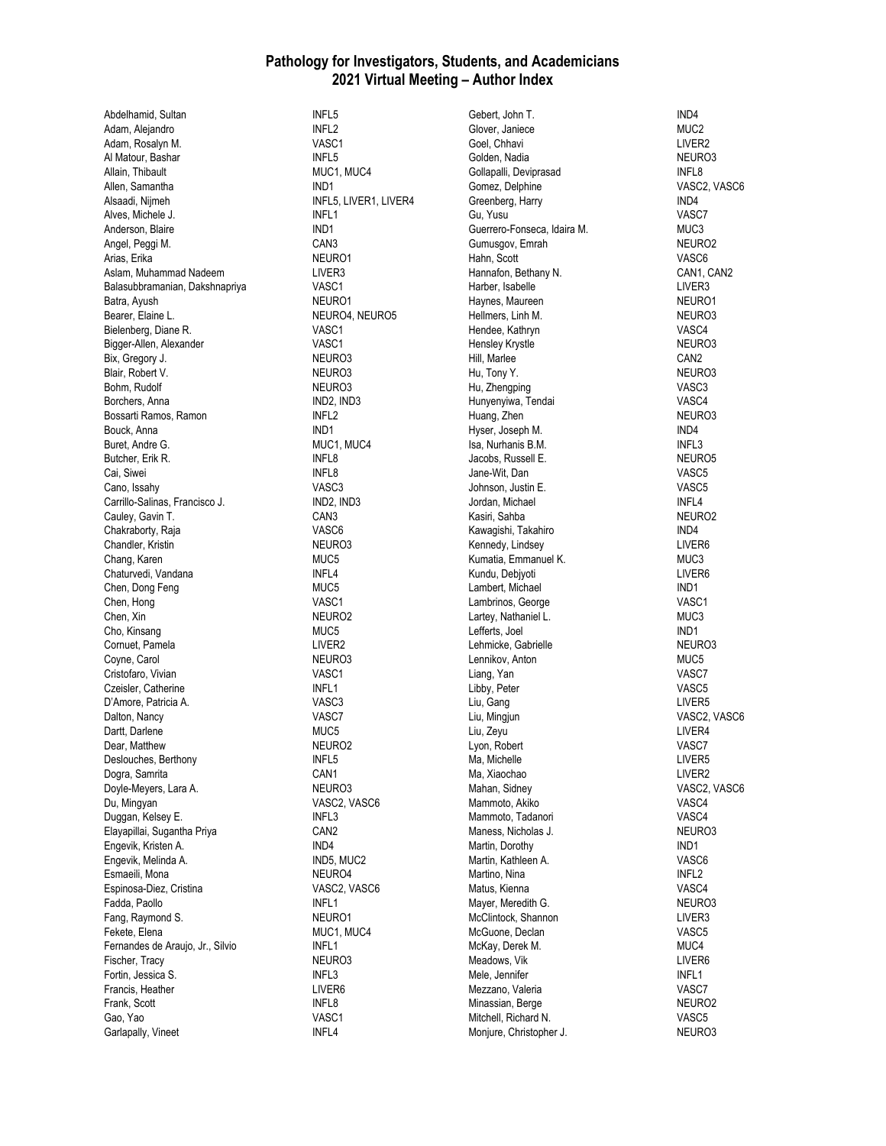## **Pathology for Investigators, Students, and Academicians 2021 Virtual Meeting – Author Index**

Abdelhamid, Sultan INFL5 Adam, Alejandro **INFL2**<br>Adam, Rosalvn M. **INFLA** VASC1 Adam, Rosalyn M. Al Matour, Bashar **INFL5** Allain, Thibault MUC1, MUC4 Allen, Samantha IND1 Alsaadi, Nijmeh INFL5, LIVER1, LIVER4 Alves, Michele J. INFL1 Anderson, Blaire **IND1**<br>Angel. Peggi M. **International CAN3** Angel, Peggi M. CAN3<br>Arias. Erika Canada Canada (CAN3 NEURO1 Arias, Erika Aslam, Muhammad Nadeem **LIVER3** Balasubbramanian, Dakshnapriya **VASC1**<br>Batra, Avush **VASC1** Batra, Ayush<br>Bearer, Elaine L. Bielenberg, Diane R. VASC1 Bigger-Allen, Alexander VASC1 Bix, Gregory J. NEURO3<br>Blair, Robert V. Neuron Neurons Blair, Robert V. Bohm, Rudolf NEURO3 Borchers, Anna IND2, IND3 Bossarti Ramos, Ramon INFL2 Bouck, Anna IND1<br>Buret. Andre G. International Communication of the IND1 MUC4. Buret, Andre G. Butcher, Erik R. **INFL8** Cai, Siwei **INFL8**<br>Cano. Issahv **INFL8** Cano, Issahy<br>Carrillo-Salinas. Francisco J. (ND2. IND2. IND3 Carrillo-Salinas, Francisco J. (IND2, IND2, IND3, IND3, IND3, IND3, IND3, IND3, I Cauley, Gavin T. Chakraborty, Raja VASC6 Chandler, Kristin NEURO3 Chang, Karen MUC5 Chaturvedi, Vandana<br>
Chen, Dong Feng<br>
MUC5 Chen, Dong Feng Chen, Hong VASC1 Chen, Xin NEURO2 Cho, Kinsang MUC5 Cornuet, Pamela LIVER2 Coyne, Carol Cristofaro, Vivian VASC1 Czeisler, Catherine **INFL1** D'Amore, Patricia A. VASC3 Dalton, Nancy VASC7 Dartt, Darlene Dear, Matthew NEURO2 Deslouches, Berthony **INFL5** Dogra, Samrita<br>Dovle-Mevers. Lara A. (2008) NEURO3 Doyle-Meyers, Lara A. Du, Mingyan VASC2, VASC6 Duggan, Kelsey E. **INFL3** Elayapillai, Sugantha Priya CAN2 Engevik, Kristen A. **IND4**<br>Engevik, Melinda A. **IND5, MUC2** Engevik, Melinda A. Esmaeili, Mona NEURO4 Espinosa-Diez, Cristina VASC2, VASC6 Fadda, Paollo **INFL1** Fang, Raymond S. NEURO1 Fekete, Elena MUC1, MUC4 Fernandes de Araujo, Jr., Silvio **INFL1** Fischer, Tracy NEURO3 Fortin, Jessica S. **INFL3** Francis, Heather **LIVER6**<br>Frank. Scott **LIVER6** Frank, Scott INFL8 Gao, Yao Garlapally, Vineet INFL4

NEURO4, NEURO5

Gebert, John T. **IND4** Glover, Janiece<br>Goel Chhavi MUC2<br>I IVER2 Goel, Chhavi Golden, Nadia Neuron and NEURO3 Gollapalli, Deviprasad INFL8 Gomez, Delphine VASC2, VASC6 Greenberg, Harry IND4 Gu, Yusu VASC7 Guerrero-Fonseca, Idaira M.<br>Gumusgov. Emrah (Metal Metal Metal Metal Metal Metal Metal Metal Metal Metal Metal Metal Metal Metal Metal Met<br>Metal Metal Metal Metal Metal Metal Metal Metal Metal Metal Metal Metal Metal Metal Gumusgov, Emrah Hahn, Scott VASC6 Hannafon, Bethany N. CAN1, CAN2 Harber, Isabelle Land LIVER3<br>Havnes, Maureen Land LIVERO1 Haynes, Maureen Neuron (NEURO1)<br>Hellmers Linh M Hellmers, Linh M. Hendee, Kathryn VASC4 Hensley Krystle NEURO3 Hill, Marlee CAN2 Hu, Tony Y. Hu, Zhengping VASC3 Hunyenyiwa, Tendai VASC4 Huang, Zhen NEURO3 Hyser, Joseph M.<br>Isa. Nurhanis B.M. ISA INDELES Isa, Nurhanis B.M. Jacobs, Russell E. NEURO5 Jane-Wit, Dan VASC5 Johnson, Justin E. VASC5 Jordan, Michael International INFL4<br>International International INFL/RO2 Kasiri, Sahba Kawagishi, Takahiro **IND4** Kennedy, Lindsey **LIVER6** Kumatia, Emmanuel K. MUC3 Kundu, Debjyoti **LIVER6** Lambert, Michael **IND1** Lambrinos, George VASC1 Lartey, Nathaniel L. **MUC3** Lefferts, Joel IND1 Lehmicke, Gabrielle NEURO3 Lennikov, Anton MUC5 Liang, Yan VASC7 Libby, Peter VASC5 Liu, Gang LIVER5 Liu, Mingjun VASC2, VASC6 Liu, Zeyu Lyon, Robert VASC7 Ma, Michelle **LIVER5** Ma, Xiaochao **LIVER2**<br>Mahan, Sidney **Liver and Alama Communist Communist Communist Communist Communist Communist Communist Communist** Mammoto, Akiko VASC4 Mammoto, Tadanori VASC4 Maness, Nicholas J. NEURO3 Martin, Dorothy **IND1**<br>Martin, Kathleen A. **Internal and America** VASC6 Martin, Kathleen A. Martino, Nina INFL2 Matus, Kienna VASC4 Mayer, Meredith G. NEURO3 McClintock, Shannon LIVER3 McGuone, Declan VASC5 McKay, Derek M. Meadows, Vik and the Contract of the LIVER6 Mele, Jennifer **INFL1** Mezzano, Valeria (1999) e VASCT VASCT (1999) e VASCT (1999) e VASCT (1999) e VASCT (1999) e VASCT (1999) e VAS<br>Minassian, Berge (1999) e VASCT (1999) e VASCT (1999) e VASCT (1999) e VASCT (1999) e VASCT (1999) e VASCT (19 Minassian, Berge Neurope NEURO<br>
Mitchell, Richard N. Neurope Neurope Neurope NASC5 Mitchell, Richard N. Moniure, Christopher J. NEURO3

VASC2, VASC6